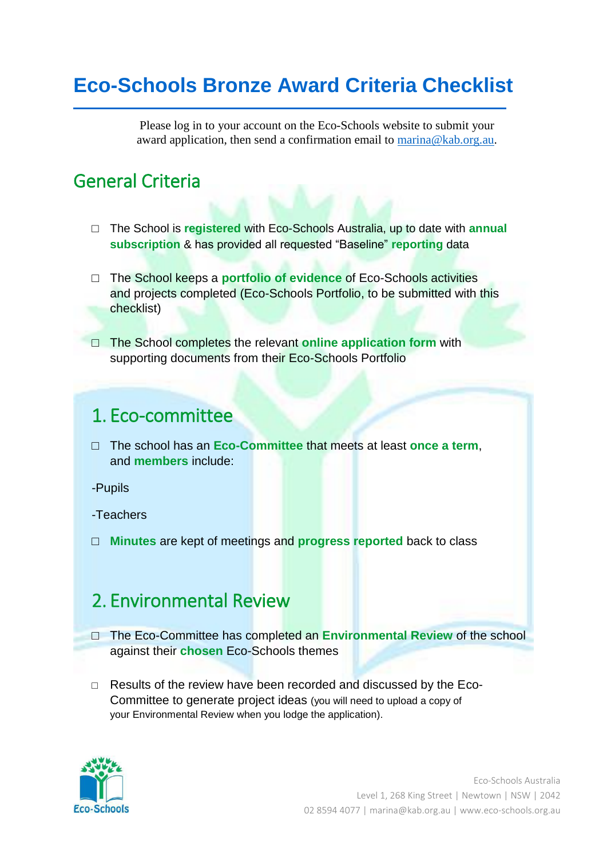# **Eco-Schools Bronze Award Criteria Checklist**

Please log in to your account on the Eco-Schools website to submit your award application, then send a confirmation email to [marina@kab.org.au.](mailto:marina@kab.org.au)

### General Criteria

- □ The School is **registered** with Eco-Schools Australia, up to date with **annual subscription** & has provided all requested "Baseline" **reporting** data
- □ The School keeps a **portfolio of evidence** of Eco-Schools activities and projects completed (Eco-Schools Portfolio, to be submitted with this checklist)
- □ The School completes the relevant **online application form** with supporting documents from their Eco-Schools Portfolio

#### 1. Eco-committee

- □ The school has an **Eco-Committee** that meets at least **once a term**, and **members** include:
- -Pupils

-Teachers

□ **Minutes** are kept of meetings and **progress reported** back to class

### 2. Environmental Review

- □ The Eco-Committee has completed an **Environmental Review** of the school against their **chosen** Eco-Schools themes
- □ Results of the review have been recorded and discussed by the Eco-Committee to generate project ideas (you will need to upload a copy of your Environmental Review when you lodge the application).